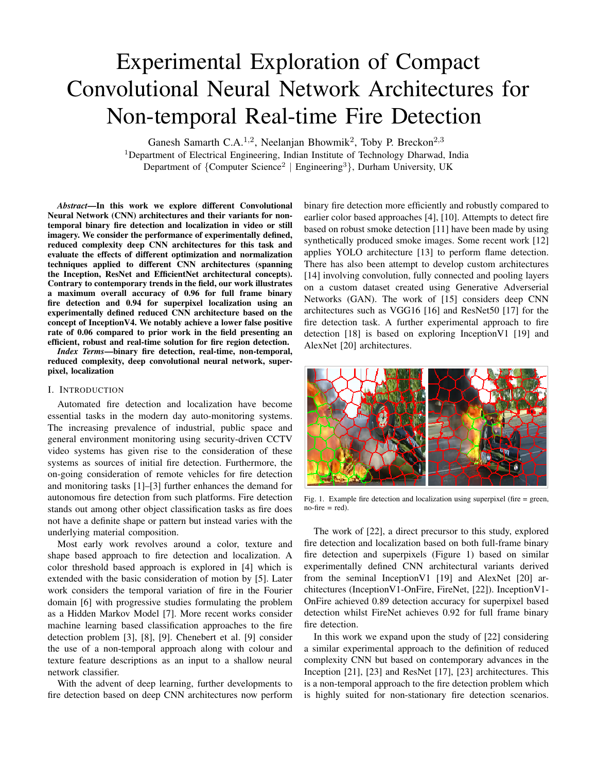# Experimental Exploration of Compact Convolutional Neural Network Architectures for Non-temporal Real-time Fire Detection

Ganesh Samarth C.A.<sup>1,2</sup>, Neelanjan Bhowmik<sup>2</sup>, Toby P. Breckon<sup>2,3</sup>

<sup>1</sup>Department of Electrical Engineering, Indian Institute of Technology Dharwad, India Department of {Computer Science<sup>2</sup> | Engineering<sup>3</sup>}, Durham University, UK

*Abstract*—In this work we explore different Convolutional Neural Network (CNN) architectures and their variants for nontemporal binary fire detection and localization in video or still imagery. We consider the performance of experimentally defined, reduced complexity deep CNN architectures for this task and evaluate the effects of different optimization and normalization techniques applied to different CNN architectures (spanning the Inception, ResNet and EfficientNet architectural concepts). Contrary to contemporary trends in the field, our work illustrates a maximum overall accuracy of 0.96 for full frame binary fire detection and 0.94 for superpixel localization using an experimentally defined reduced CNN architecture based on the concept of InceptionV4. We notably achieve a lower false positive rate of 0.06 compared to prior work in the field presenting an efficient, robust and real-time solution for fire region detection.

*Index Terms*—binary fire detection, real-time, non-temporal, reduced complexity, deep convolutional neural network, superpixel, localization

### I. INTRODUCTION

Automated fire detection and localization have become essential tasks in the modern day auto-monitoring systems. The increasing prevalence of industrial, public space and general environment monitoring using security-driven CCTV video systems has given rise to the consideration of these systems as sources of initial fire detection. Furthermore, the on-going consideration of remote vehicles for fire detection and monitoring tasks [1]–[3] further enhances the demand for autonomous fire detection from such platforms. Fire detection stands out among other object classification tasks as fire does not have a definite shape or pattern but instead varies with the underlying material composition.

Most early work revolves around a color, texture and shape based approach to fire detection and localization. A color threshold based approach is explored in [4] which is extended with the basic consideration of motion by [5]. Later work considers the temporal variation of fire in the Fourier domain [6] with progressive studies formulating the problem as a Hidden Markov Model [7]. More recent works consider machine learning based classification approaches to the fire detection problem [3], [8], [9]. Chenebert et al. [9] consider the use of a non-temporal approach along with colour and texture feature descriptions as an input to a shallow neural network classifier.

With the advent of deep learning, further developments to fire detection based on deep CNN architectures now perform

binary fire detection more efficiently and robustly compared to earlier color based approaches [4], [10]. Attempts to detect fire based on robust smoke detection [11] have been made by using synthetically produced smoke images. Some recent work [12] applies YOLO architecture [13] to perform flame detection. There has also been attempt to develop custom architectures [14] involving convolution, fully connected and pooling layers on a custom dataset created using Generative Adverserial Networks (GAN). The work of [15] considers deep CNN architectures such as VGG16 [16] and ResNet50 [17] for the fire detection task. A further experimental approach to fire detection [18] is based on exploring InceptionV1 [19] and AlexNet [20] architectures.



Fig. 1. Example fire detection and localization using superpixel (fire = green,  $no$ -fire  $=$  red).

The work of [22], a direct precursor to this study, explored fire detection and localization based on both full-frame binary fire detection and superpixels (Figure 1) based on similar experimentally defined CNN architectural variants derived from the seminal InceptionV1 [19] and AlexNet [20] architectures (InceptionV1-OnFire, FireNet, [22]). InceptionV1- OnFire achieved 0.89 detection accuracy for superpixel based detection whilst FireNet achieves 0.92 for full frame binary fire detection.

In this work we expand upon the study of [22] considering a similar experimental approach to the definition of reduced complexity CNN but based on contemporary advances in the Inception [21], [23] and ResNet [17], [23] architectures. This is a non-temporal approach to the fire detection problem which is highly suited for non-stationary fire detection scenarios.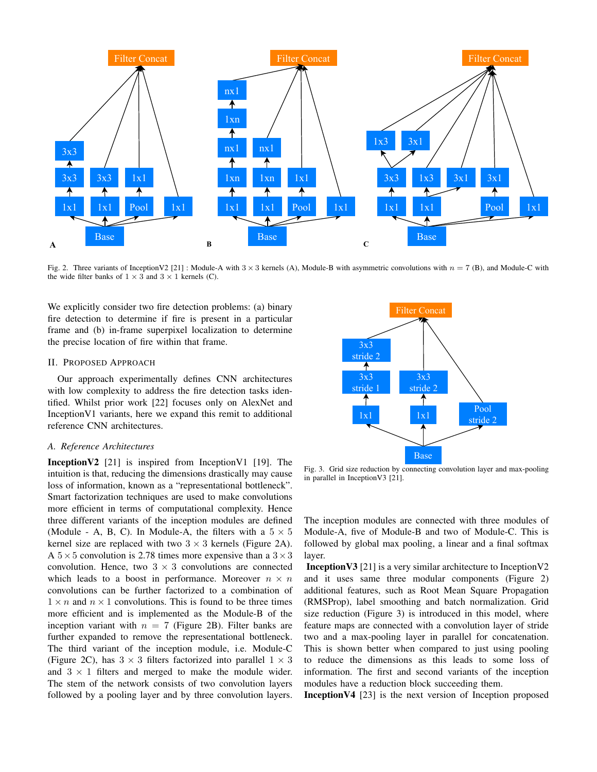

Fig. 2. Three variants of InceptionV2 [21] : Module-A with  $3 \times 3$  kernels (A), Module-B with asymmetric convolutions with  $n = 7$  (B), and Module-C with the wide filter banks of  $1 \times 3$  and  $3 \times 1$  kernels (C).

We explicitly consider two fire detection problems: (a) binary fire detection to determine if fire is present in a particular frame and (b) in-frame superpixel localization to determine the precise location of fire within that frame.

## II. PROPOSED APPROACH

Our approach experimentally defines CNN architectures with low complexity to address the fire detection tasks identified. Whilst prior work [22] focuses only on AlexNet and InceptionV1 variants, here we expand this remit to additional reference CNN architectures.

# *A. Reference Architectures*

**InceptionV2** [21] is inspired from InceptionV1 [19]. The intuition is that, reducing the dimensions drastically may cause loss of information, known as a "representational bottleneck". Smart factorization techniques are used to make convolutions more efficient in terms of computational complexity. Hence three different variants of the inception modules are defined (Module - A, B, C). In Module-A, the filters with a  $5 \times 5$ kernel size are replaced with two  $3 \times 3$  kernels (Figure 2A). A  $5 \times 5$  convolution is 2.78 times more expensive than a  $3 \times 3$ convolution. Hence, two  $3 \times 3$  convolutions are connected which leads to a boost in performance. Moreover  $n \times n$ convolutions can be further factorized to a combination of  $1 \times n$  and  $n \times 1$  convolutions. This is found to be three times more efficient and is implemented as the Module-B of the inception variant with  $n = 7$  (Figure 2B). Filter banks are further expanded to remove the representational bottleneck. The third variant of the inception module, i.e. Module-C (Figure 2C), has  $3 \times 3$  filters factorized into parallel  $1 \times 3$ and  $3 \times 1$  filters and merged to make the module wider. The stem of the network consists of two convolution layers followed by a pooling layer and by three convolution layers.



Fig. 3. Grid size reduction by connecting convolution layer and max-pooling in parallel in InceptionV3 [21].

The inception modules are connected with three modules of Module-A, five of Module-B and two of Module-C. This is followed by global max pooling, a linear and a final softmax layer.

InceptionV3 [21] is a very similar architecture to InceptionV2 and it uses same three modular components (Figure 2) additional features, such as Root Mean Square Propagation (RMSProp), label smoothing and batch normalization. Grid size reduction (Figure 3) is introduced in this model, where feature maps are connected with a convolution layer of stride two and a max-pooling layer in parallel for concatenation. This is shown better when compared to just using pooling to reduce the dimensions as this leads to some loss of information. The first and second variants of the inception modules have a reduction block succeeding them.

InceptionV4 [23] is the next version of Inception proposed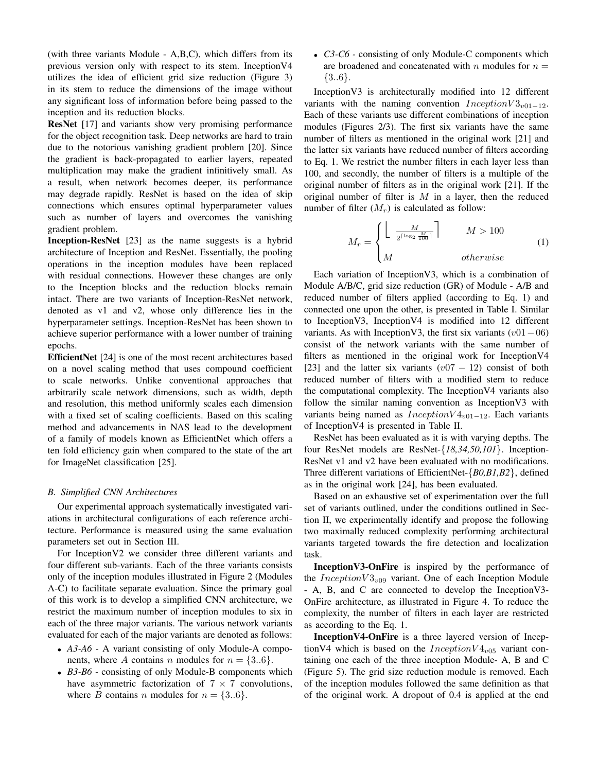(with three variants Module - A,B,C), which differs from its previous version only with respect to its stem. InceptionV4 utilizes the idea of efficient grid size reduction (Figure 3) in its stem to reduce the dimensions of the image without any significant loss of information before being passed to the inception and its reduction blocks.

ResNet [17] and variants show very promising performance for the object recognition task. Deep networks are hard to train due to the notorious vanishing gradient problem [20]. Since the gradient is back-propagated to earlier layers, repeated multiplication may make the gradient infinitively small. As a result, when network becomes deeper, its performance may degrade rapidly. ResNet is based on the idea of skip connections which ensures optimal hyperparameter values such as number of layers and overcomes the vanishing gradient problem.

Inception-ResNet [23] as the name suggests is a hybrid architecture of Inception and ResNet. Essentially, the pooling operations in the inception modules have been replaced with residual connections. However these changes are only to the Inception blocks and the reduction blocks remain intact. There are two variants of Inception-ResNet network, denoted as v1 and v2, whose only difference lies in the hyperparameter settings. Inception-ResNet has been shown to achieve superior performance with a lower number of training epochs.

EfficientNet [24] is one of the most recent architectures based on a novel scaling method that uses compound coefficient to scale networks. Unlike conventional approaches that arbitrarily scale network dimensions, such as width, depth and resolution, this method uniformly scales each dimension with a fixed set of scaling coefficients. Based on this scaling method and advancements in NAS lead to the development of a family of models known as EfficientNet which offers a ten fold efficiency gain when compared to the state of the art for ImageNet classification [25].

# *B. Simplified CNN Architectures*

Our experimental approach systematically investigated variations in architectural configurations of each reference architecture. Performance is measured using the same evaluation parameters set out in Section III.

For InceptionV2 we consider three different variants and four different sub-variants. Each of the three variants consists only of the inception modules illustrated in Figure 2 (Modules A-C) to facilitate separate evaluation. Since the primary goal of this work is to develop a simplified CNN architecture, we restrict the maximum number of inception modules to six in each of the three major variants. The various network variants evaluated for each of the major variants are denoted as follows:

- *A3-A6 -* A variant consisting of only Module-A components, where A contains n modules for  $n = \{3..6\}$ .
- *B3-B6* consisting of only Module-B components which have asymmetric factorization of  $7 \times 7$  convolutions, where B contains n modules for  $n = \{3..6\}$ .

• *C3-C6 -* consisting of only Module-C components which are broadened and concatenated with n modules for  $n =$ {3..6}.

InceptionV3 is architecturally modified into 12 different variants with the naming convention  $Inception V3_{v01-12}$ . Each of these variants use different combinations of inception modules (Figures 2/3). The first six variants have the same number of filters as mentioned in the original work [21] and the latter six variants have reduced number of filters according to Eq. 1. We restrict the number filters in each layer less than 100, and secondly, the number of filters is a multiple of the original number of filters as in the original work [21]. If the original number of filter is  $M$  in a layer, then the reduced number of filter  $(M_r)$  is calculated as follow:

$$
M_r = \begin{cases} \left\lfloor \frac{M}{2^{\lceil \log_2 \frac{M}{100} \rceil}} \right\rfloor & M > 100\\ M & otherwise \end{cases}
$$
 (1)

Each variation of InceptionV3, which is a combination of Module A/B/C, grid size reduction (GR) of Module - A/B and reduced number of filters applied (according to Eq. 1) and connected one upon the other, is presented in Table I. Similar to InceptionV3, InceptionV4 is modified into 12 different variants. As with InceptionV3, the first six variants  $(v01-06)$ consist of the network variants with the same number of filters as mentioned in the original work for InceptionV4 [23] and the latter six variants  $(v07 - 12)$  consist of both reduced number of filters with a modified stem to reduce the computational complexity. The InceptionV4 variants also follow the similar naming convention as InceptionV3 with variants being named as  $InceptionV4_{v01-12}$ . Each variants of InceptionV4 is presented in Table II.

ResNet has been evaluated as it is with varying depths. The four ResNet models are ResNet-{*18,34,50,101*}. Inception-ResNet v1 and v2 have been evaluated with no modifications. Three different variations of EfficientNet-{*B0,B1,B2*}, defined as in the original work [24], has been evaluated.

Based on an exhaustive set of experimentation over the full set of variants outlined, under the conditions outlined in Section II, we experimentally identify and propose the following two maximally reduced complexity performing architectural variants targeted towards the fire detection and localization task.

InceptionV3-OnFire is inspired by the performance of the *Inception* $V3_{v09}$  variant. One of each Inception Module - A, B, and C are connected to develop the InceptionV3- OnFire architecture, as illustrated in Figure 4. To reduce the complexity, the number of filters in each layer are restricted as according to the Eq. 1.

InceptionV4-OnFire is a three layered version of InceptionV4 which is based on the  $InceptionV4_{v05}$  variant containing one each of the three inception Module- A, B and C (Figure 5). The grid size reduction module is removed. Each of the inception modules followed the same definition as that of the original work. A dropout of 0.4 is applied at the end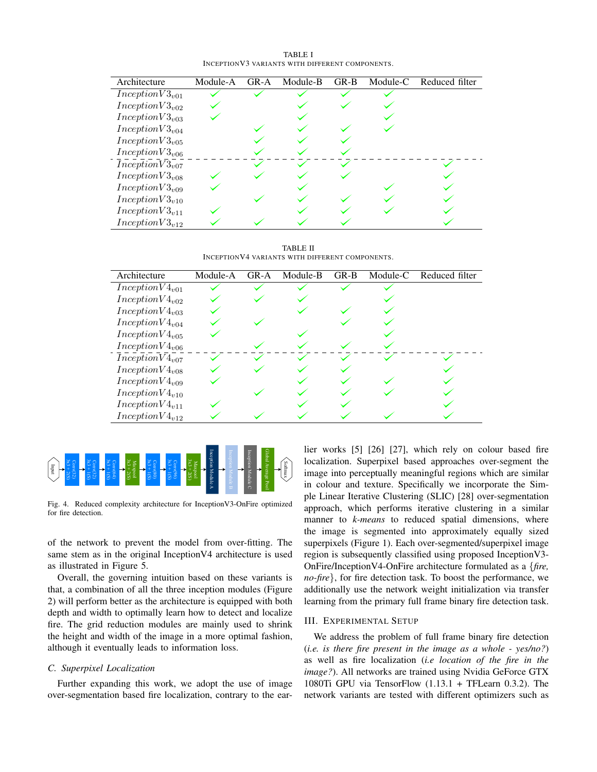| TABLE I                                          |  |  |  |  |  |  |  |
|--------------------------------------------------|--|--|--|--|--|--|--|
| INCEPTION V3 VARIANTS WITH DIFFERENT COMPONENTS. |  |  |  |  |  |  |  |

| Architecture               | Module-A | $GR-A$ | Module-B | $GR-B$ | Module-C | Reduced filter |
|----------------------------|----------|--------|----------|--------|----------|----------------|
| $InceptionV3_{v01}$        |          |        |          |        |          |                |
| $InceptionV3_{v02}$        |          |        |          |        |          |                |
| InceptionV3 <sub>v03</sub> |          |        |          |        |          |                |
| $InceptionV3_{v04}$        |          |        |          |        |          |                |
| InceptionV3 <sub>v05</sub> |          |        |          |        |          |                |
| $InceptionV3_{v06}$        |          |        |          |        |          |                |
| InceptionV3 <sub>v07</sub> |          |        |          |        |          |                |
| InceptionV3 <sub>v08</sub> |          |        |          |        |          |                |
| $InceptionV3_{v09}$        |          |        |          |        |          |                |
| InceptionV3 <sub>v10</sub> |          |        |          |        |          |                |
| InceptionV3 <sub>v11</sub> |          |        |          |        |          |                |
| InceptionV3 <sub>v12</sub> |          |        |          |        |          |                |

TABLE II INCEPTIONV4 VARIANTS WITH DIFFERENT COMPONENTS.

| Architecture               | Module-A | GR-A | Module-B | $GR-B$ | Module-C | Reduced filter |
|----------------------------|----------|------|----------|--------|----------|----------------|
| $InceptionV4_{v01}$        |          |      |          |        |          |                |
| $InceptionV4_{v02}$        |          |      |          |        |          |                |
| $InceptionV4_{v03}$        |          |      |          |        |          |                |
| $InceptionV4_{v04}$        |          |      |          |        |          |                |
| $InceptionV4_{v05}$        |          |      |          |        |          |                |
| $InceptionV4_{v06}$        |          |      |          |        |          |                |
| $InceptionV4_{v07}$        |          |      |          |        |          |                |
| $InceptionV4_{v08}$        |          |      |          |        |          |                |
| $InceptionV4_{v09}$        |          |      |          |        |          |                |
| $InceptionV4_{v10}$        |          |      |          |        |          |                |
| InceptionV4 <sub>v11</sub> |          |      |          |        |          |                |
| $InceptionV4_{v12}$        |          |      |          |        |          |                |



Fig. 4. Reduced complexity architecture for InceptionV3-OnFire optimized for fire detection.

of the network to prevent the model from over-fitting. The same stem as in the original InceptionV4 architecture is used as illustrated in Figure 5.

Overall, the governing intuition based on these variants is that, a combination of all the three inception modules (Figure 2) will perform better as the architecture is equipped with both depth and width to optimally learn how to detect and localize fire. The grid reduction modules are mainly used to shrink the height and width of the image in a more optimal fashion, although it eventually leads to information loss.

## *C. Superpixel Localization*

Further expanding this work, we adopt the use of image over-segmentation based fire localization, contrary to the earlier works [5] [26] [27], which rely on colour based fire localization. Superpixel based approaches over-segment the image into perceptually meaningful regions which are similar in colour and texture. Specifically we incorporate the Simple Linear Iterative Clustering (SLIC) [28] over-segmentation approach, which performs iterative clustering in a similar manner to *k-means* to reduced spatial dimensions, where the image is segmented into approximately equally sized superpixels (Figure 1). Each over-segmented/superpixel image region is subsequently classified using proposed InceptionV3- OnFire/InceptionV4-OnFire architecture formulated as a {*fire, no-fire*}, for fire detection task. To boost the performance, we additionally use the network weight initialization via transfer learning from the primary full frame binary fire detection task.

# III. EXPERIMENTAL SETUP

We address the problem of full frame binary fire detection (*i.e. is there fire present in the image as a whole - yes/no?*) as well as fire localization (*i.e location of the fire in the image?*). All networks are trained using Nvidia GeForce GTX 1080Ti GPU via TensorFlow  $(1.13.1 + TFLearn 0.3.2)$ . The network variants are tested with different optimizers such as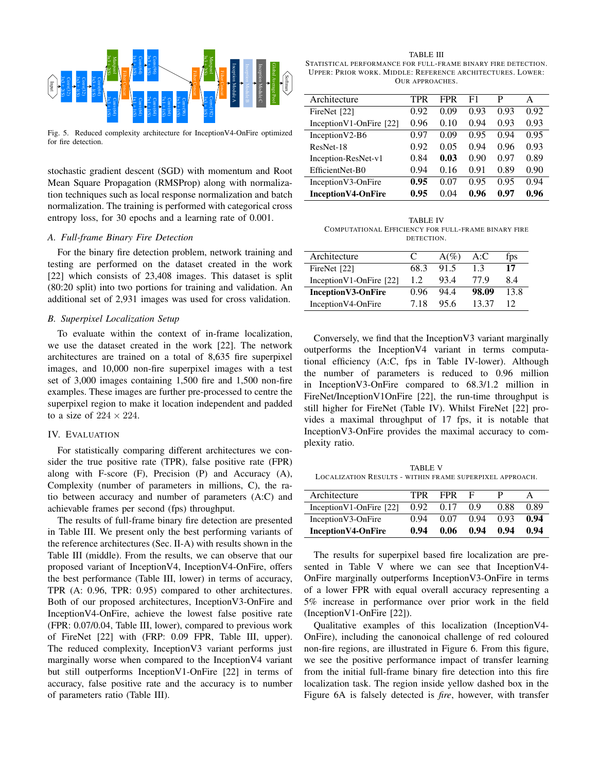

Fig. 5. Reduced complexity architecture for InceptionV4-OnFire optimized for fire detection.

stochastic gradient descent (SGD) with momentum and Root Mean Square Propagation (RMSProp) along with normalization techniques such as local response normalization and batch normalization. The training is performed with categorical cross entropy loss, for 30 epochs and a learning rate of 0.001.

# *A. Full-frame Binary Fire Detection*

For the binary fire detection problem, network training and testing are performed on the dataset created in the work [22] which consists of 23,408 images. This dataset is split (80:20 split) into two portions for training and validation. An additional set of 2,931 images was used for cross validation.

## *B. Superpixel Localization Setup*

To evaluate within the context of in-frame localization, we use the dataset created in the work [22]. The network architectures are trained on a total of 8,635 fire superpixel images, and 10,000 non-fire superpixel images with a test set of 3,000 images containing 1,500 fire and 1,500 non-fire examples. These images are further pre-processed to centre the superpixel region to make it location independent and padded to a size of  $224 \times 224$ .

# IV. EVALUATION

For statistically comparing different architectures we consider the true positive rate (TPR), false positive rate (FPR) along with F-score (F), Precision (P) and Accuracy (A), Complexity (number of parameters in millions, C), the ratio between accuracy and number of parameters (A:C) and achievable frames per second (fps) throughput.

The results of full-frame binary fire detection are presented in Table III. We present only the best performing variants of the reference architectures (Sec. II-A) with results shown in the Table III (middle). From the results, we can observe that our proposed variant of InceptionV4, InceptionV4-OnFire, offers the best performance (Table III, lower) in terms of accuracy, TPR (A: 0.96, TPR: 0.95) compared to other architectures. Both of our proposed architectures, InceptionV3-OnFire and InceptionV4-OnFire, achieve the lowest false positive rate (FPR: 0.07/0.04, Table III, lower), compared to previous work of FireNet [22] with (FRP: 0.09 FPR, Table III, upper). The reduced complexity, InceptionV3 variant performs just marginally worse when compared to the InceptionV4 variant but still outperforms InceptionV1-OnFire [22] in terms of accuracy, false positive rate and the accuracy is to number of parameters ratio (Table III).

TABLE III STATISTICAL PERFORMANCE FOR FULL-FRAME BINARY FIRE DETECTION. UPPER: PRIOR WORK. MIDDLE: REFERENCE ARCHITECTURES. LOWER: OUR APPROACHES.

| Architecture               | TPR  | FPR  | F1   | P    | A    |
|----------------------------|------|------|------|------|------|
| FireNet [22]               | 0.92 | 0.09 | 0.93 | 0.93 | 0.92 |
| Inception V1-OnFire $[22]$ | 0.96 | 0.10 | 0.94 | 0.93 | 0.93 |
| Inception $V2-B6$          | 0.97 | 0.09 | 0.95 | 0.94 | 0.95 |
| ResNet-18                  | 0.92 | 0.05 | 0.94 | 0.96 | 0.93 |
| Inception-ResNet-v1        | 0.84 | 0.03 | 0.90 | 0.97 | 0.89 |
| EfficientNet-B0            | 0.94 | 0.16 | 0.91 | 0.89 | 0.90 |
| Inception V3-OnFire        | 0.95 | 0.07 | 0.95 | 0.95 | 0.94 |
| <b>InceptionV4-OnFire</b>  | 0.95 | 0.04 | 0.96 | 0.97 | 0.96 |

TABLE IV COMPUTATIONAL EFFICIENCY FOR FULL-FRAME BINARY FIRE DETECTION.

| Architecture               | C    | $A(\%)$ | A:C   | fps  |
|----------------------------|------|---------|-------|------|
| FireNet [22]               | 68.3 | 91.5    | 13    | 17   |
| Inception V1-OnFire $[22]$ | 1.2  | 93.4    | 77.9  | 84   |
| Inception V3-OnFire        | 0.96 | 944     | 98.09 | 13 8 |
| Inception V4-On Fire       | 718  | 95.6    | 13.37 |      |

Conversely, we find that the InceptionV3 variant marginally outperforms the InceptionV4 variant in terms computational efficiency (A:C, fps in Table IV-lower). Although the number of parameters is reduced to 0.96 million in InceptionV3-OnFire compared to 68.3/1.2 million in FireNet/InceptionV1OnFire [22], the run-time throughput is still higher for FireNet (Table IV). Whilst FireNet [22] provides a maximal throughput of 17 fps, it is notable that InceptionV3-OnFire provides the maximal accuracy to complexity ratio.

TABLE V LOCALIZATION RESULTS - WITHIN FRAME SUPERPIXEL APPROACH.

| Architecture               | TPR  | <b>FPR</b> | - F  |      |      |
|----------------------------|------|------------|------|------|------|
| Inception V1-OnFire $[22]$ | 0.92 | 0.17       | 0.9  | 0.88 | 0.89 |
| Inception V3-On Fire       | 0.94 | 0.07       | 0.94 | 0.93 | 0.94 |
| Inception V4-OnFire        | 0.94 | 0.06       | 0.94 | 0.94 | 0.94 |

The results for superpixel based fire localization are presented in Table V where we can see that InceptionV4- OnFire marginally outperforms InceptionV3-OnFire in terms of a lower FPR with equal overall accuracy representing a 5% increase in performance over prior work in the field (InceptionV1-OnFire [22]).

Qualitative examples of this localization (InceptionV4- OnFire), including the canonoical challenge of red coloured non-fire regions, are illustrated in Figure 6. From this figure, we see the positive performance impact of transfer learning from the initial full-frame binary fire detection into this fire localization task. The region inside yellow dashed box in the Figure 6A is falsely detected is *fire*, however, with transfer